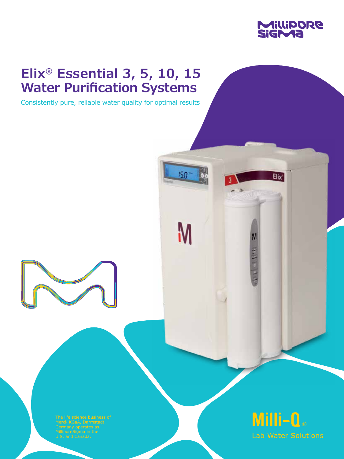

Elix

**Contract Contract** 

# **Elix® Essential 3, 5, 10, 15 Water Purification Systems**

Consistently pure, reliable water quality for optimal results

ISB

**N** 

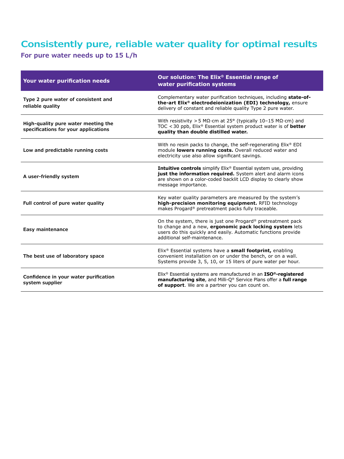# **Consistently pure, reliable water quality for optimal results**

**For pure water needs up to 15 L/h**

| Your water purification needs                                               | Our solution: The Elix® Essential range of<br>water purification systems                                                                                                                                                            |
|-----------------------------------------------------------------------------|-------------------------------------------------------------------------------------------------------------------------------------------------------------------------------------------------------------------------------------|
| Type 2 pure water of consistent and<br>reliable quality                     | Complementary water purification techniques, including state-of-<br>the-art Elix® electrodeionization (EDI) technology, ensure<br>delivery of constant and reliable quality Type 2 pure water.                                      |
| High-quality pure water meeting the<br>specifications for your applications | With resistivity > 5 M $\Omega$ ·cm at 25° (typically 10-15 M $\Omega$ ·cm) and<br>TOC < 30 ppb, $Elix$ <sup>®</sup> Essential system product water is of <b>better</b><br>quality than double distilled water.                     |
| Low and predictable running costs                                           | With no resin packs to change, the self-regenerating Elix <sup>®</sup> EDI<br>module lowers running costs. Overall reduced water and<br>electricity use also allow significant savings.                                             |
| A user-friendly system                                                      | <b>Intuitive controls</b> simplify Elix® Essential system use, providing<br>just the information required. System alert and alarm icons<br>are shown on a color-coded backlit LCD display to clearly show<br>message importance.    |
| Full control of pure water quality                                          | Key water quality parameters are measured by the system's<br>high-precision monitoring equipment. RFID technology<br>makes Progard® pretreatment packs fully traceable.                                                             |
| Easy maintenance                                                            | On the system, there is just one Progard <sup>®</sup> pretreatment pack<br>to change and a new, ergonomic pack locking system lets<br>users do this quickly and easily. Automatic functions provide<br>additional self-maintenance. |
| The best use of laboratory space                                            | $E$ lix <sup>®</sup> Essential systems have a <b>small footprint</b> , enabling<br>convenient installation on or under the bench, or on a wall.<br>Systems provide 3, 5, 10, or 15 liters of pure water per hour.                   |
| Confidence in your water purification<br>system supplier                    | Elix <sup>®</sup> Essential systems are manufactured in an <b>ISO<sup>®</sup>-registered</b><br>manufacturing site, and Milli-Q® Service Plans offer a full range<br>of support. We are a partner you can count on.                 |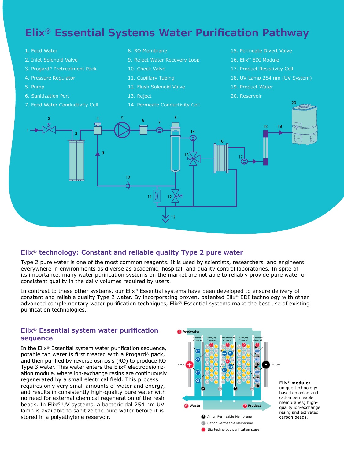### **Elix® Essential Systems Water Purification Pathway**

- 1. Feed Water
- 2. Inlet Solenoid Valve
- 3. Progard® Pretreatment Pack
- 4. Pressure Regulator
- 5. Pump
- 6. Sanitization Port
- 7. Feed Water Conductivity Cell

8. RO Membrane

- 9. Reject Water Recovery Loop
- 10. Check Valve
- 11. Capillary Tubing
- 12. Flush Solenoid Valve
- 13. Reject
- 14. Permeate Conductivity Cell
- 15. Permeate Divert Valve
- 16. Elix® EDI Module
- 17. Product Resistivity Cell
- 18. UV Lamp 254 nm (UV System)
- 19. Product Water
- 20. Reservoir



#### **Elix® technology: Constant and reliable quality Type 2 pure water**

Type 2 pure water is one of the most common reagents. It is used by scientists, researchers, and engineers everywhere in environments as diverse as academic, hospital, and quality control laboratories. In spite of its importance, many water purification systems on the market are not able to reliably provide pure water of consistent quality in the daily volumes required by users.

In contrast to these other systems, our Elix® Essential systems have been developed to ensure delivery of constant and reliable quality Type 2 water. By incorporating proven, patented Elix® EDI technology with other advanced complementary water purification techniques, Elix® Essential systems make the best use of existing purification technologies.

#### **Elix® Essential system water purification sequence**

In the Elix® Essential system water purification sequence, potable tap water is first treated with a Progard® pack, and then purified by reverse osmosis (RO) to produce RO Type 3 water. This water enters the Elix® electrodeionization module, where ion-exchange resins are continuously regenerated by a small electrical field. This process requires only very small amounts of water and energy, and results in consistently high-quality pure water with no need for external chemical regeneration of the resin beads. In Elix® UV systems, a bactericidal 254 nm UV lamp is available to sanitize the pure water before it is stored in a polyethylene reservoir.



**Elix® module:**  unique technology based on anion-and cation permeable membranes; highquality ion-exchange resin; and activated<br>carbon beads.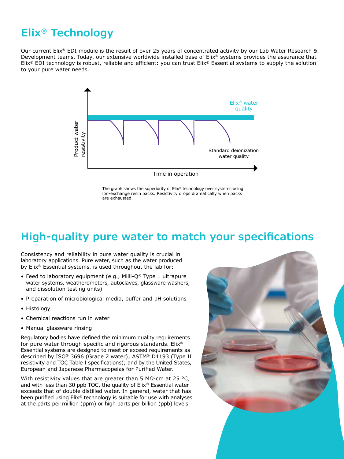# **Elix® Technology**

Our current Elix® EDI module is the result of over 25 years of concentrated activity by our Lab Water Research & Development teams. Today, our extensive worldwide installed base of Elix® systems provides the assurance that Elix® EDI technology is robust, reliable and efficient: you can trust Elix® Essential systems to supply the solution to your pure water needs.



The graph shows the superiority of Elix® technology over systems using ion-exchange resin packs. Resistivity drops dramatically when packs are exhausted.

### **High-quality pure water to match your specifications**

Consistency and reliability in pure water quality is crucial in laboratory applications. Pure water, such as the water produced by Elix® Essential systems, is used throughout the lab for:

- Feed to laboratory equipment (e.g., Milli-Q® Type 1 ultrapure water systems, weatherometers, autoclaves, glassware washers, and dissolution testing units)
- Preparation of microbiological media, buffer and pH solutions
- Histology
- Chemical reactions run in water
- Manual glassware rinsing

Regulatory bodies have defined the minimum quality requirements for pure water through specific and rigorous standards. Elix® Essential systems are designed to meet or exceed requirements as described by ISO® 3696 (Grade 2 water); ASTM® D1193 (Type II resistivity and TOC Table I specifications); and by the United States, European and Japanese Pharmacopeias for Purified Water.

With resistivity values that are greater than 5 M $\Omega$ ·cm at 25 °C, and with less than 30 ppb TOC, the quality of Elix® Essential water exceeds that of double distilled water. In general, water that has been purified using Elix® technology is suitable for use with analyses at the parts per million (ppm) or high parts per billion (ppb) levels.

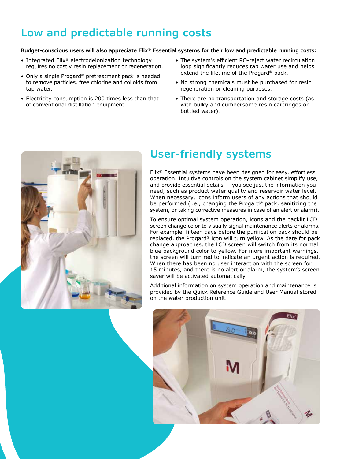# **Low and predictable running costs**

#### **Budget-conscious users will also appreciate Elix® Essential systems for their low and predictable running costs:**

- Integrated Elix® electrodeionization technology requires no costly resin replacement or regeneration.
- Only a single Progard® pretreatment pack is needed to remove particles, free chlorine and colloids from tap water.
- Electricity consumption is 200 times less than that of conventional distillation equipment.
- The system's efficient RO-reject water recirculation loop significantly reduces tap water use and helps extend the lifetime of the Progard® pack.
- No strong chemicals must be purchased for resin regeneration or cleaning purposes.
- There are no transportation and storage costs (as with bulky and cumbersome resin cartridges or bottled water).



# **User-friendly systems**

Elix® Essential systems have been designed for easy, effortless operation. Intuitive controls on the system cabinet simplify use, and provide essential details  $-$  you see just the information you need, such as product water quality and reservoir water level. When necessary, icons inform users of any actions that should be performed (i.e., changing the Progard® pack, sanitizing the system, or taking corrective measures in case of an alert or alarm).

To ensure optimal system operation, icons and the backlit LCD screen change color to visually signal maintenance alerts or alarms. For example, fifteen days before the purification pack should be replaced, the Progard® icon will turn yellow. As the date for pack change approaches, the LCD screen will switch from its normal blue background color to yellow. For more important warnings, the screen will turn red to indicate an urgent action is required. When there has been no user interaction with the screen for 15 minutes, and there is no alert or alarm, the system's screen saver will be activated automatically.

Additional information on system operation and maintenance is provided by the Quick Reference Guide and User Manual stored on the water production unit.

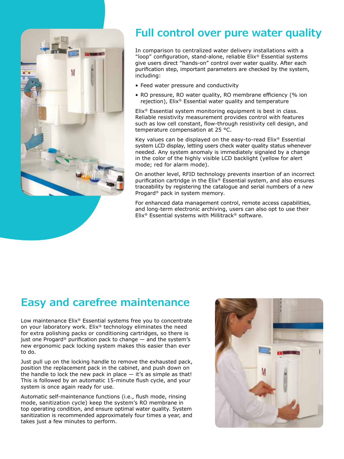

### **Full control over pure water quality**

In comparison to centralized water delivery installations with a "loop" configuration, stand-alone, reliable Elix® Essential systems give users direct "hands-on" control over water quality. After each purification step, important parameters are checked by the system, including:

- Feed water pressure and conductivity
- RO pressure, RO water quality, RO membrane efficiency (% ion rejection), Elix® Essential water quality and temperature

Elix® Essential system monitoring equipment is best in class. Reliable resistivity measurement provides control with features such as low cell constant, flow-through resistivity cell design, and temperature compensation at 25 °C.

Key values can be displayed on the easy-to-read Elix® Essential system LCD display, letting users check water quality status whenever needed. Any system anomaly is immediately signaled by a change in the color of the highly visible LCD backlight (yellow for alert mode; red for alarm mode).

On another level, RFID technology prevents insertion of an incorrect purification cartridge in the Elix® Essential system, and also ensures traceability by registering the catalogue and serial numbers of a new Progard® pack in system memory.

For enhanced data management control, remote access capabilities, and long-term electronic archiving, users can also opt to use their Elix® Essential systems with Millitrack® software.

### **Easy and carefree maintenance**

Low maintenance Elix® Essential systems free you to concentrate on your laboratory work. Elix® technology eliminates the need for extra polishing packs or conditioning cartridges, so there is just one Progard® purification pack to change — and the system's new ergonomic pack locking system makes this easier than ever to do.

Just pull up on the locking handle to remove the exhausted pack, position the replacement pack in the cabinet, and push down on the handle to lock the new pack in place  $-$  it's as simple as that! This is followed by an automatic 15-minute flush cycle, and your system is once again ready for use.

Automatic self-maintenance functions (i.e., flush mode, rinsing mode, sanitization cycle) keep the system's RO membrane in top operating condition, and ensure optimal water quality. System sanitization is recommended approximately four times a year, and takes just a few minutes to perform.

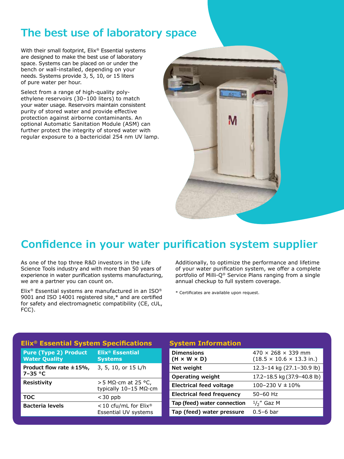### **The best use of laboratory space**

With their small footprint, Elix® Essential systems are designed to make the best use of laboratory space. Systems can be placed on or under the bench or wall-installed, depending on your needs. Systems provide 3, 5, 10, or 15 liters of pure water per hour.

Select from a range of high-quality polyethylene reservoirs (30–100 liters) to match your water usage. Reservoirs maintain consistent purity of stored water and provide effective protection against airborne contaminants. An optional Automatic Sanitation Module (ASM) can further protect the integrity of stored water with regular exposure to a bactericidal 254 nm UV lamp.



### **Confidence in your water purification system supplier**

As one of the top three R&D investors in the Life Science Tools industry and with more than 50 years of experience in water purification systems manufacturing, we are a partner you can count on.

Elix® Essential systems are manufactured in an ISO® 9001 and ISO 14001 registered site,\* and are certified for safety and electromagnetic compatibility (CE, cUL, FCC).

Additionally, to optimize the performance and lifetime of your water purification system, we offer a complete portfolio of Milli-Q® Service Plans ranging from a single annual checkup to full system coverage.

\* Certificates are available upon request.

| <b>Elix<sup>®</sup> Essential System Specifications</b> |                                                                 |  |
|---------------------------------------------------------|-----------------------------------------------------------------|--|
| <b>Pure (Type 2) Product</b><br><b>Water Quality</b>    | Elix <sup>®</sup> Essential<br><b>Systems</b>                   |  |
| Product flow rate $\pm$ 15%,<br>$7-35$ °C               | 3, 5, 10, or 15 L/h                                             |  |
| <b>Resistivity</b>                                      | > 5 MΩ $\cdot$ cm at 25 °C,<br>typically 10-15 MΩ·cm            |  |
| <b>TOC</b>                                              | $<$ 30 ppb                                                      |  |
| <b>Bacteria levels</b>                                  | <10 cfu/mL for Elix <sup>®</sup><br><b>Essential UV systems</b> |  |

#### **System Information**

| <b>Dimensions</b><br>$(H \times W \times D)$ | $470 \times 268 \times 339$ mm<br>$(18.5 \times 10.6 \times 13.3 \text{ in.})$ |
|----------------------------------------------|--------------------------------------------------------------------------------|
| Net weight                                   | 12.3-14 kg (27.1-30.9 lb)                                                      |
| <b>Operating weight</b>                      | 17.2-18.5 kg (37.9-40.8 lb)                                                    |
| <b>Electrical feed voltage</b>               | 100-230 V $\pm$ 10%                                                            |
| Electrical feed frequency                    | 50-60 Hz                                                                       |
| Tap (feed) water connection                  | $1/2$ " Gaz M                                                                  |
| Tap (feed) water pressure                    | $0.5 - 6$ bar                                                                  |